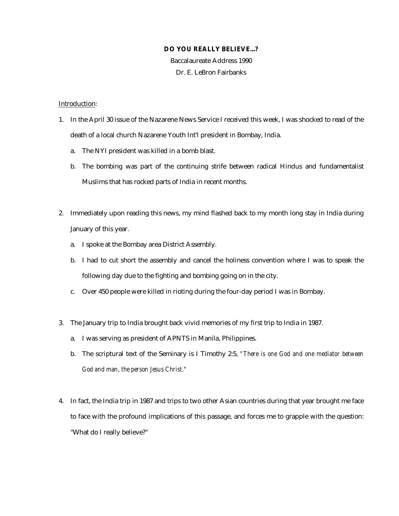#### **DO YOU REALLY BELIEVE...?**

Baccalaureate Address 1990 Dr. E. LeBron Fairbanks

### Introduction:

- 1. In the April 30 issue of the Nazarene News Service I received this week, I was shocked to read of the death of a local church Nazarene Youth Int'l president in Bombay, India.
	- a. The NYI president was killed in a bomb blast.
	- b. The bombing was part of the continuing strife between radical Hindus and fundamentalist Muslims that has rocked parts of India in recent months.
- 2. Immediately upon reading this news, my mind flashed back to my month long stay in India during January of this year.
	- a. I spoke at the Bombay area District Assembly.
	- b. I had to cut short the assembly and cancel the holiness convention where I was to speak the following day due to the fighting and bombing going on in the city.
	- c. Over 450 people were killed in rioting during the four-day period I was in Bombay.
- 3. The January trip to India brought back vivid memories of my first trip to India in 1987.
	- a. I was serving as president of APNTS in Manila, Philippines.
	- b. The scriptural text of the Seminary is I Timothy 2:5, *"There is one God and one mediator between God and man, the person Jesus Christ."*
- 4. In fact, the India trip in 1987 and trips to two other Asian countries during that year brought me face to face with the profound implications of this passage, and forces me to grapple with the question: "What do I really believe?"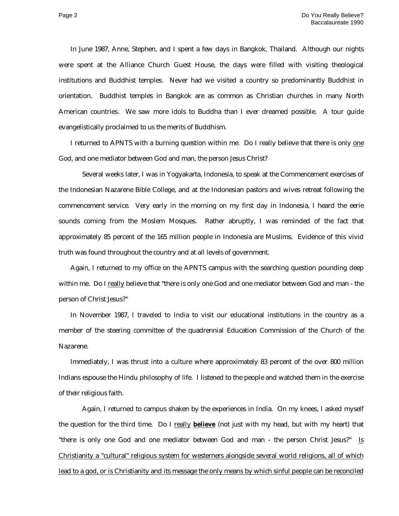In June 1987, Anne, Stephen, and I spent a few days in Bangkok, Thailand. Although our nights were spent at the Alliance Church Guest House, the days were filled with visiting theological institutions and Buddhist temples. Never had we visited a country so predominantly Buddhist in orientation. Buddhist temples in Bangkok are as common as Christian churches in many North American countries. We saw more idols to Buddha than I ever dreamed possible. A tour guide evangelistically proclaimed to us the merits of Buddhism.

I returned to APNTS with a burning question within me. Do I really believe that there is only one God, and one mediator between God and man, the person Jesus Christ?

Several weeks later, I was in Yogyakarta, Indonesia, to speak at the Commencement exercises of the Indonesian Nazarene Bible College, and at the Indonesian pastors and wives retreat following the commencement service. Very early in the morning on my first day in Indonesia, I heard the eerie sounds coming from the Moslem Mosques. Rather abruptly, I was reminded of the fact that approximately 85 percent of the 165 million people in Indonesia are Muslims. Evidence of this vivid truth was found throughout the country and at all levels of government.

Again, I returned to my office on the APNTS campus with the searching question pounding deep within me. Do I really believe that "there is only one God and one mediator between God and man - the person of Christ Jesus?"

In November 1987, I traveled to India to visit our educational institutions in the country as a member of the steering committee of the quadrennial Education Commission of the Church of the Nazarene.

Immediately, I was thrust into a culture where approximately 83 percent of the over 800 million Indians espouse the Hindu philosophy of life. I listened to the people and watched them in the exercise of their religious faith.

Again, I returned to campus shaken by the experiences in India. On my knees, I asked myself the question for the third time. Do I really **believe** (not just with my head, but with my heart) that "there is only one God and one mediator between God and man - the person Christ Jesus?" Is Christianity a "cultural" religious system for westerners alongside several world religions, all of which lead to a god, or is Christianity and its message the only means by which sinful people can be reconciled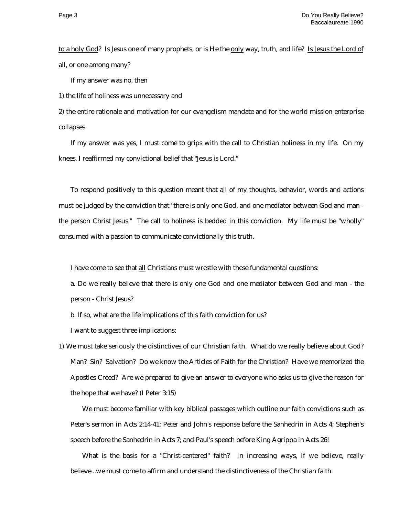to a holy God? Is Jesus one of many prophets, or is He the only way, truth, and life? Is Jesus the Lord of all, or one among many?

If my answer was no, then

1) the life of holiness was unnecessary and

2) the entire rationale and motivation for our evangelism mandate and for the world mission enterprise collapses.

If my answer was yes, I must come to grips with the call to Christian holiness in my life. On my knees, I reaffirmed my convictional belief that "Jesus is Lord."

To respond positively to this question meant that all of my thoughts, behavior, words and actions must be judged by the conviction that "there is only one God, and one mediator between God and man the person Christ Jesus." The call to holiness is bedded in this conviction. My life must be "wholly" consumed with a passion to communicate convictionally this truth.

I have come to see that all Christians must wrestle with these fundamental questions:

a. Do we really believe that there is only one God and one mediator between God and man - the person - Christ Jesus?

b. If so, what are the life implications of this faith conviction for us?

I want to suggest three implications:

1) We must take seriously the distinctives of our Christian faith. What do we really believe about God? Man? Sin? Salvation? Do we know the Articles of Faith for the Christian? Have we memorized the Apostles Creed? Are we prepared to give an answer to everyone who asks us to give the reason for the hope that we have? (I Peter 3:15)

We must become familiar with key biblical passages which outline our faith convictions such as Peter's sermon in Acts 2:14-41; Peter and John's response before the Sanhedrin in Acts 4; Stephen's speech before the Sanhedrin in Acts 7; and Paul's speech before King Agrippa in Acts 26!

What is the basis for a "Christ-centered" faith? In increasing ways, if we believe, really believe...we must come to affirm and understand the distinctiveness of the Christian faith.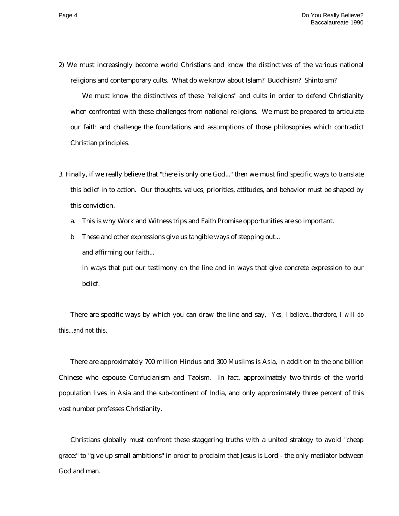2) We must increasingly become world Christians and know the distinctives of the various national religions and contemporary cults. What do we know about Islam? Buddhism? Shintoism?

We must know the distinctives of these "religions" and cults in order to defend Christianity when confronted with these challenges from national religions. We must be prepared to articulate our faith and challenge the foundations and assumptions of those philosophies which contradict Christian principles.

- 3. Finally, if we really believe that "there is only one God..." then we must find specific ways to translate this belief in to action. Our thoughts, values, priorities, attitudes, and behavior must be shaped by this conviction.
	- a. This is why Work and Witness trips and Faith Promise opportunities are so important.
	- b. These and other expressions give us tangible ways of stepping out... and affirming our faith... in ways that put our testimony on the line and in ways that give concrete expression to our belief.

There are specific ways by which you can draw the line and say, *"Yes, I believe...therefore, I will do this...and not this."*

There are approximately 700 million Hindus and 300 Muslims is Asia, in addition to the one billion Chinese who espouse Confucianism and Taoism. In fact, approximately two-thirds of the world population lives in Asia and the sub-continent of India, and only approximately three percent of this vast number professes Christianity.

Christians globally must confront these staggering truths with a united strategy to avoid "cheap grace;" to "give up small ambitions" in order to proclaim that Jesus is Lord - the only mediator between God and man.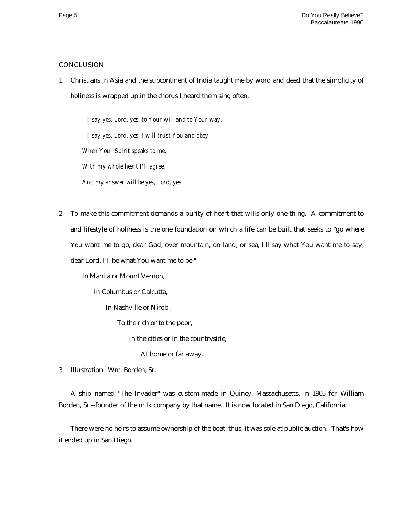### **CONCLUSION**

1. Christians in Asia and the subcontinent of India taught me by word and deed that the simplicity of holiness is wrapped up in the chorus I heard them sing often,

*I'll say yes, Lord, yes, to Your will and to Your way. I'll say yes, Lord, yes, I will trust You and obey. When Your Spirit speaks to me, With my whole heart I'll agree, And my answer will be yes, Lord, yes.*

2. To make this commitment demands a purity of heart that wills only one thing. A commitment to and lifestyle of holiness is the one foundation on which a life can be built that seeks to "go where You want me to go, dear God, over mountain, on land, or sea, I'll say what You want me to say, dear Lord, I'll be what You want me to be."

In Manila or Mount Vernon,

In Columbus or Calcutta,

In Nashville or Nirobi,

To the rich or to the poor,

In the cities or in the countryside,

At home or far away.

3. Illustration: Wm. Borden, Sr.

A ship named "The Invader" was custom-made in Quincy, Massachusetts, in 1905 for William Borden, Sr.--founder of the milk company by that name. It is now located in San Diego, California.

There were no heirs to assume ownership of the boat; thus, it was sole at public auction. That's how it ended up in San Diego.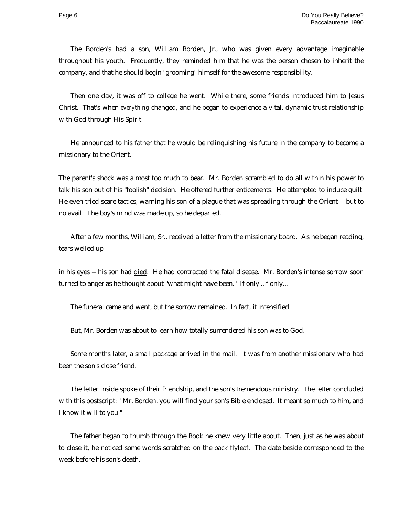The Borden's had a son, William Borden, Jr., who was given every advantage imaginable throughout his youth. Frequently, they reminded him that he was the person chosen to inherit the company, and that he should begin "grooming" himself for the awesome responsibility.

Then one day, it was off to college he went. While there, some friends introduced him to Jesus Christ. That's when *everything* changed, and he began to experience a vital, dynamic trust relationship with God through His Spirit.

He announced to his father that he would be relinquishing his future in the company to become a missionary to the Orient.

The parent's shock was almost too much to bear. Mr. Borden scrambled to do all within his power to talk his son out of his "foolish" decision. He offered further enticements. He attempted to induce guilt. He even tried scare tactics, warning his son of a plague that was spreading through the Orient -- but to no avail. The boy's mind was made up, so he departed.

After a few months, William, Sr., received a letter from the missionary board. As he began reading, tears welled up

in his eyes -- his son had died. He had contracted the fatal disease. Mr. Borden's intense sorrow soon turned to anger as he thought about "what might have been." If only...if only...

The funeral came and went, but the sorrow remained. In fact, it intensified.

But, Mr. Borden was about to learn how totally surrendered his son was to God.

Some months later, a small package arrived in the mail. It was from another missionary who had been the son's close friend.

The letter inside spoke of their friendship, and the son's tremendous ministry. The letter concluded with this postscript: "Mr. Borden, you will find your son's Bible enclosed. It meant so much to him, and I know it will to you."

The father began to thumb through the Book he knew very little about. Then, just as he was about to close it, he noticed some words scratched on the back flyleaf. The date beside corresponded to the week before his son's death.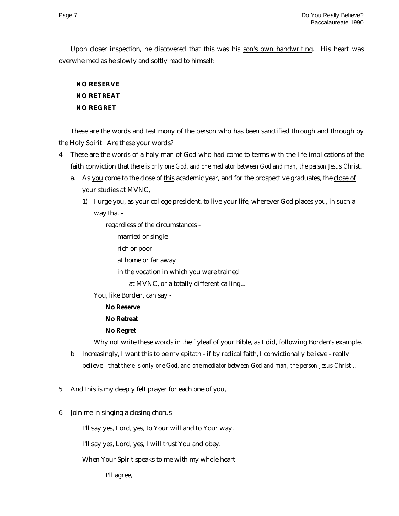Upon closer inspection, he discovered that this was his son's own handwriting. His heart was overwhelmed as he slowly and softly read to himself:

# **NO RESERVE NO RETREAT NO REGRET**

These are the words and testimony of the person who has been sanctified through and through by the Holy Spirit. Are these your words?

- 4. These are the words of a holy man of God who had come to terms with the life implications of the faith conviction that *there is only one God, and one mediator between God and man, the person Jesus Christ.*
	- a. As you come to the close of this academic year, and for the prospective graduates, the close of your studies at MVNC,
		- 1) I urge you, as your college president, to live your life, wherever God places you, in such a way that -

regardless of the circumstances -

married or single

rich or poor

at home or far away

in the vocation in which you were trained

at MVNC, or a totally different calling...

You, like Borden, can say -

**No Reserve**

## **No Retreat**

### **No Regret**

Why not write these words in the flyleaf of your Bible, as I did, following Borden's example.

- b. Increasingly, I want this to be my epitath if by radical faith, I convictionally believe really believe - that *there is only one God, and one mediator between God and man, the person Jesus Christ...*
- 5. And this is my deeply felt prayer for each one of you,
- 6. Join me in singing a closing chorus

I'll say yes, Lord, yes, to Your will and to Your way.

I'll say yes, Lord, yes, I will trust You and obey.

When Your Spirit speaks to me with my whole heart

I'll agree,